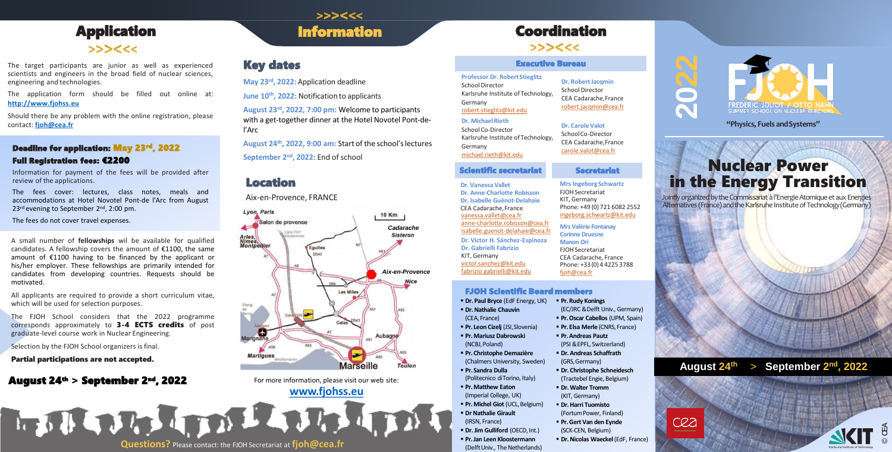**Mrs Ingeborg Schwartz** FJOH Secretariat KIT, Germany Phone: +49 (0) 721 6082 2552 ingeborg.schwartz@kit.edu

**Mrs Valérie Fontanay Corinne Druesne Manon Ori** FJOHSecretariat CEA Cadarache, France Phone: +33(0) 4 4225 3788 fioh@cea.fr

**Secretariat** 

#### **FJOH Scientific Board members**

- **Dr. Paul Bryce (EdF Energy, UK) Dr. Nathalie Chauvin**
- (CEA,France)
- **Pr. Leon Cizelj (JSI, Slovenia)**
- **Pr. Mariusz Dabrowski** (NCBJ,Poland)
- **Pr. Christophe Demazière** (Chalmers University, Sweden)
- **Pr. Sandra Dulla** (Politecnico diTorino, Italy)
- **Pr. Matthew Eaton** (Imperial College, UK)
- **Pr. Michel Giot** (UCL, Belgium) **Dr Nathalie Girault**
- (IRSN, France)
- **Dr. Jim Gulliford** (OECD, Int.)
- **Pr. Jan Leen Kloostermann** (Delft Univ., The Netherlands)

The fees cover: lectures, class notes, meals and accommodations at Hotel Novotel Pont-de l'Arc from August 23<sup>rd</sup> evening to September 2<sup>nd</sup>, 2:00 pm.

**2**

**022**



### Deadline for application: May 23 rd, 2022

#### Full Registration fees: €2200

Information for payment of the fees will be provided after review of the applications.

The fees do not cover travel expenses.

A small number of **fellowships** wil be available for qualified candidates. A fellowship covers the amount of €1100, the same amount of €1100 having to be financed by the applicant or his/her employer. These fellowships are primarily intended for candidates from developing countries. Requests should be motivated.

## Application **Information**  $55566$

The target participants are junior as well as experienced scientists and engineers in the broad field of nuclear sciences, engineering and technologies.

> **August 24 th, 2022, 9:00 am:** Start of the school'slectures **September 2<sup>nd</sup>, 2022: End of school**

All applicants are required to provide a short curriculum vitae, which will be used for selection purposes.

School Director Karlsruhe Institute of Technology, Germany robert.stieglitz@kit.edu

The FJOH School considers that the 2022 programme corresponds approximately to 3-4 ECTS credits of post graduate-level course work in Nuclear Engineering.

Selection by the FJOH School organizers is final.

#### Partial participations are not accepted.

### August 24<sup>th</sup> > September 2<sup>nd</sup>, 2022 For more information, please visit our web site:

>>><<<

**[www.fjohss.eu](http://www.fjohss.eu/)**

The application form should be filled out online at: **[http://www.fjohss.eu](http://www.fjohss.eu/)**

- **Pr. Rudy Konings** (EC/JRC &Delft Univ., Germany)
- **Pr. Oscar Cabellos (UPM, Spain)**
- **Pr. Elsa Merle (CNRS, France)**
- **Pr. Andreas Pautz** (PSI &EPFL, Switzerland)
- **Dr. Andreas Schaffrath** (GRS,Germany)
- **Dr. Christophe Schneidesch**  (Tractebel Engie, Belgium)
- **Dr. Walter Tromm** (KIT,Germany)
- **Dr. Harri Tuomisto** (FortumPower, Finland)
- **Pr. Gert Van den Eynde** (SCK-CEN, Belgium)
- **Dr. Nicolas Waeckel**(EdF, France)



Should there be any problem with the online registration, please contact: **[fjoh@cea.fr](mailto:fjoh@cea.fr)**

## Key dates

**May 23 rd , 2022:** Application deadline

**June 10th, 2022:** Notification to applicants

**August 23rd, 2022, 7:00 pm:** Welcome to participants with a get-together dinner at the Hotel Novotel Pont-del'Arc

> Jointly organized by the Commissariat à l'Energie Atomique et aux Energies Alternatives (France) and the Karlsruhe Institute of Technology(Germany)

**"Physics, Fuels andSystems"**

# Coordination

 $>><<$ 

#### **Professor Dr. RobertStieglitz**

#### **Dr. MichaelRieth** School Co-Director Karlsruhe Institute of Technology,

Germany

michael.rieth@kit.edu

Aix-en-Provence, FRANCE

### Location



#### Executive Bureau

#### **Dr. VanessaVallet Dr. Anne-Charlotte Robisson Dr. Isabelle Guénot-Delahaie** CEA Cadarache,France vanessa.vallet@cea.fr anne-charlotte.robisson@cea.fr isabelle.guenot-delahaie@cea.fr **Dr. Victor H. Sánchez-Espinoza Dr. Gabrielli Fabrizio** KIT, Germany victor.sanchez@kit.edu fabrizio.gabrielli@kit.edu

#### Scientific secretariat

**Dr. RobertJacqmin** School Director CEA Cadarache,France robert.jacqmin@cea.fr

**Dr. Carole Valot** SchoolCo-Director CEA Cadarache,France carole.valot@cea.fr

# Nuclear Power in the Energy Transition



**August 24th** > **September 2 nd , 2022**



**Questions?** Please contact: the FJOH Secretariat at **fjoh@cea.fr**

**REAL ARTICLE AND ALL**